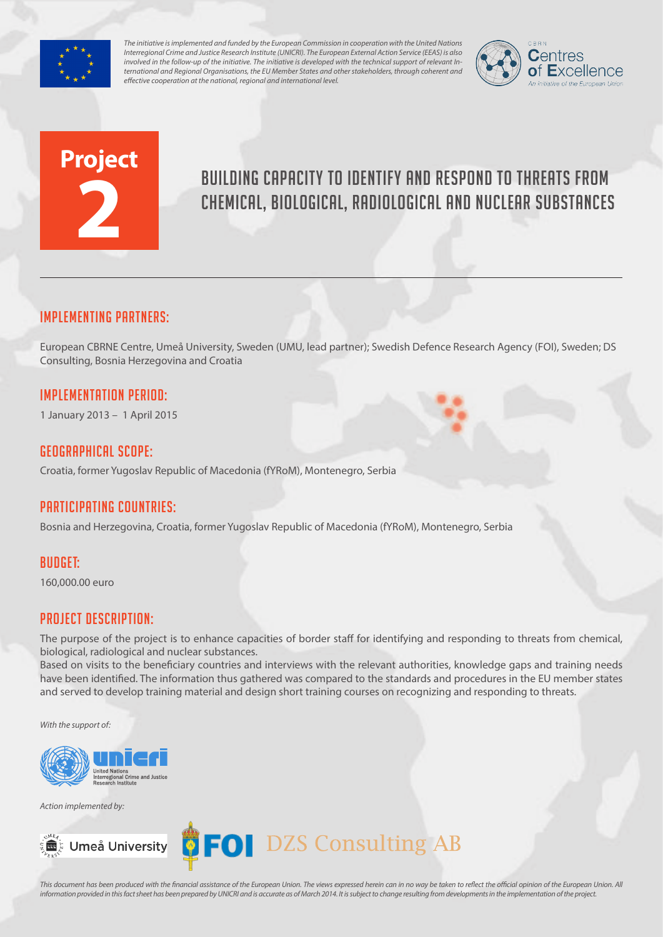

*The initiative is implemented and funded by the European Commission in cooperation with the United Nations Interregional Crime and Justice Research Institute (UNICRI). The European External Action Service (EEAS) is also involved in the follow-up of the initiative. The initiative is developed with the technical support of relevant International and Regional Organisations, the EU Member States and other stakeholders, through coherent and effective cooperation at the national, regional and international level.*



# **Project 2**

### Building capacity to identify and respond to threats from chemical, biological, radiological and nuclear substances

#### Implementing partners:

European CBRNE Centre, Umeå University, Sweden (UMU, lead partner); Swedish Defence Research Agency (FOI), Sweden; DS Consulting, Bosnia Herzegovina and Croatia

#### Implementation Period:

1 January 2013 – 1 April 2015

#### Geographical scope:

Croatia, former Yugoslav Republic of Macedonia (fYRoM), Montenegro, Serbia

#### Participating countries:

Bosnia and Herzegovina, Croatia, former Yugoslav Republic of Macedonia (fYRoM), Montenegro, Serbia

#### Budget:

160,000.00 euro

#### Project Description:

The purpose of the project is to enhance capacities of border staff for identifying and responding to threats from chemical, biological, radiological and nuclear substances.

Based on visits to the beneficiary countries and interviews with the relevant authorities, knowledge gaps and training needs have been identified. The information thus gathered was compared to the standards and procedures in the EU member states and served to develop training material and design short training courses on recognizing and responding to threats.

*With the support of:*



*Action implemented by:*



## Umeå University **CEOI** DZS Consulting AB

*This document has been produced with the financial assistance of the European Union. The views expressed herein can in no way be taken to reflect the official opinion of the European Union. All information provided in this fact sheet has been prepared by UNICRI and is accurate as of March 2014. It is subject to change resulting from developments in the implementation of the project.*